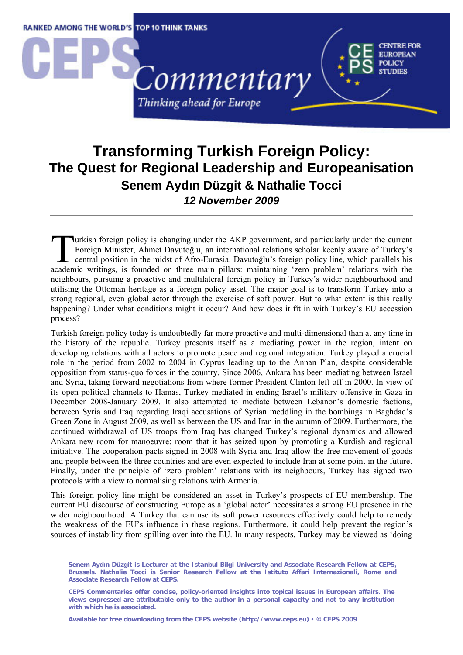

## **Transforming Turkish Foreign Policy: The Quest for Regional Leadership and Europeanisation Senem Aydın Düzgit & Nathalie Tocci**  *12 November 2009*

urkish foreign policy is changing under the AKP government, and particularly under the current Foreign Minister, Ahmet Davutoğlu, an international relations scholar keenly aware of Turkey's central position in the midst of Afro-Eurasia. Davutoğlu's foreign policy line, which parallels his academic writings, is founded on three main pillars: maintaining 'zero problem' relations with the academic writings, is founded on three main pillars: maintaining 'zero problem' relations with the main pillars. neighbours, pursuing a proactive and multilateral foreign policy in Turkey's wider neighbourhood and utilising the Ottoman heritage as a foreign policy asset. The major goal is to transform Turkey into a strong regional, even global actor through the exercise of soft power. But to what extent is this really happening? Under what conditions might it occur? And how does it fit in with Turkey's EU accession process?

Turkish foreign policy today is undoubtedly far more proactive and multi-dimensional than at any time in the history of the republic. Turkey presents itself as a mediating power in the region, intent on developing relations with all actors to promote peace and regional integration. Turkey played a crucial role in the period from 2002 to 2004 in Cyprus leading up to the Annan Plan, despite considerable opposition from status-quo forces in the country. Since 2006, Ankara has been mediating between Israel and Syria, taking forward negotiations from where former President Clinton left off in 2000. In view of its open political channels to Hamas, Turkey mediated in ending Israel's military offensive in Gaza in December 2008-January 2009. It also attempted to mediate between Lebanon's domestic factions, between Syria and Iraq regarding Iraqi accusations of Syrian meddling in the bombings in Baghdad's Green Zone in August 2009, as well as between the US and Iran in the autumn of 2009. Furthermore, the continued withdrawal of US troops from Iraq has changed Turkey's regional dynamics and allowed Ankara new room for manoeuvre; room that it has seized upon by promoting a Kurdish and regional initiative. The cooperation pacts signed in 2008 with Syria and Iraq allow the free movement of goods and people between the three countries and are even expected to include Iran at some point in the future. Finally, under the principle of 'zero problem' relations with its neighbours, Turkey has signed two protocols with a view to normalising relations with Armenia.

This foreign policy line might be considered an asset in Turkey's prospects of EU membership. The current EU discourse of constructing Europe as a 'global actor' necessitates a strong EU presence in the wider neighbourhood. A Turkey that can use its soft power resources effectively could help to remedy the weakness of the EU's influence in these regions. Furthermore, it could help prevent the region's sources of instability from spilling over into the EU. In many respects, Turkey may be viewed as 'doing

**Available for free downloading from the CEPS website (http://www.ceps.eu)** y **© CEPS 2009** 

**Senem Aydın Düzgit is Lecturer at the Istanbul Bilgi University and Associate Research Fellow at CEPS, Brussels. Nathalie Tocci is Senior Research Fellow at the Istituto Affari Internazionali, Rome and Associate Research Fellow at CEPS.** 

**CEPS Commentaries offer concise, policy-oriented insights into topical issues in European affairs. The views expressed are attributable only to the author in a personal capacity and not to any institution with which he is associated.**